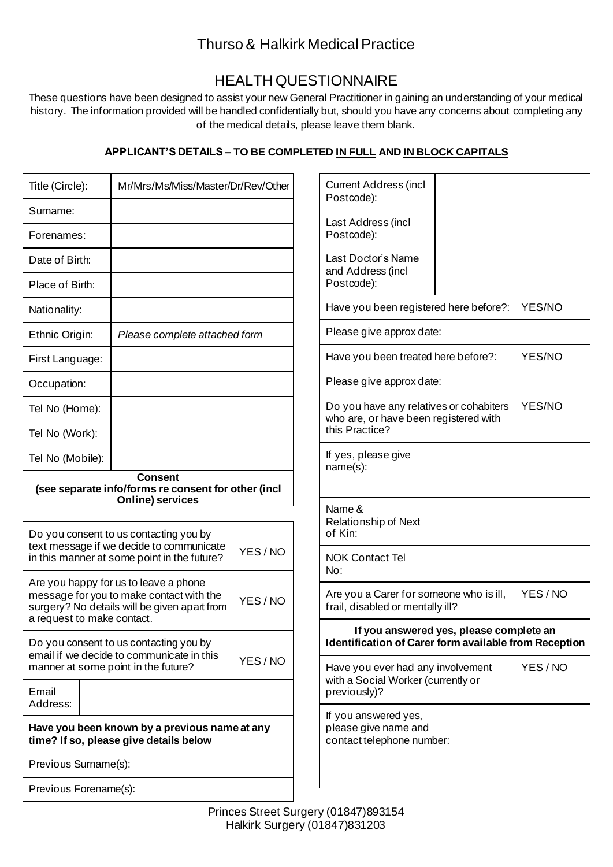## Thurso & Halkirk Medical Practice

# HEALTH QUESTIONNAIRE

These questions have been designed to assist your new General Practitioner in gaining an understanding of your medical history. The information provided will be handled confidentially but, should you have any concerns about completing any of the medical details, please leave them blank.

## **APPLICANT'S DETAILS – TO BE COMPLETED IN FULL AND IN BLOCK CAPITALS**

| Surname:<br>Last Address (incl<br>Postcode):<br>Forenames:<br>Last Doctor's Name<br>Date of Birth:<br>and Address (incl<br>Postcode):<br>Place of Birth:<br>YES/NO<br>Have you been registered here before?:<br>Nationality:<br>Please give approx date:<br>Ethnic Origin:<br>Please complete attached form<br>YES/NO<br>Have you been treated here before?:<br>First Language:<br>Please give approx date:<br>Occupation:<br>YES/NO<br>Do you have any relatives or cohabiters<br>Tel No (Home):<br>who are, or have been registered with<br>this Practice?<br>Tel No (Work):<br>If yes, please give<br>Tel No (Mobile):<br>name(s):<br><b>Consent</b><br>(see separate info/forms re consent for other (incl<br><b>Online) services</b><br>Name &<br><b>Relationship of Next</b><br>of Kin:<br>Do you consent to us contacting you by<br>text message if we decide to communicate<br>YES/NO<br><b>NOK Contact Tel</b><br>in this manner at some point in the future?<br>No:<br>Are you happy for us to leave a phone<br>YES/NO<br>Are you a Carer for someone who is ill,<br>message for you to make contact with the<br>YES/NO<br>frail, disabled or mentally ill?<br>surgery? No details will be given apart from<br>a request to make contact.<br>If you answered yes, please complete an<br>Do you consent to us contacting you by<br>Identification of Carer form available from Reception<br>email if we decide to communicate in this<br>YES/NO<br>manner at some point in the future?<br>YES/NO<br>Have you ever had any involvement<br>with a Social Worker (currently or<br>previously)?<br>Email<br>Address:<br>If you answered yes,<br>Have you been known by a previous name at any<br>please give name and<br>time? If so, please give details below<br>contact telephone number:<br>Previous Surname(s):<br>Previous Forename(s): | Title (Circle): | Mr/Mrs/Ms/Miss/Master/Dr/Rev/Other |  | <b>Current Address (incl</b><br>Postcode): |  |  |
|----------------------------------------------------------------------------------------------------------------------------------------------------------------------------------------------------------------------------------------------------------------------------------------------------------------------------------------------------------------------------------------------------------------------------------------------------------------------------------------------------------------------------------------------------------------------------------------------------------------------------------------------------------------------------------------------------------------------------------------------------------------------------------------------------------------------------------------------------------------------------------------------------------------------------------------------------------------------------------------------------------------------------------------------------------------------------------------------------------------------------------------------------------------------------------------------------------------------------------------------------------------------------------------------------------------------------------------------------------------------------------------------------------------------------------------------------------------------------------------------------------------------------------------------------------------------------------------------------------------------------------------------------------------------------------------------------------------------------------------------------------------------------------------------------------------------------------------------------|-----------------|------------------------------------|--|--------------------------------------------|--|--|
|                                                                                                                                                                                                                                                                                                                                                                                                                                                                                                                                                                                                                                                                                                                                                                                                                                                                                                                                                                                                                                                                                                                                                                                                                                                                                                                                                                                                                                                                                                                                                                                                                                                                                                                                                                                                                                                    |                 |                                    |  |                                            |  |  |
|                                                                                                                                                                                                                                                                                                                                                                                                                                                                                                                                                                                                                                                                                                                                                                                                                                                                                                                                                                                                                                                                                                                                                                                                                                                                                                                                                                                                                                                                                                                                                                                                                                                                                                                                                                                                                                                    |                 |                                    |  |                                            |  |  |
|                                                                                                                                                                                                                                                                                                                                                                                                                                                                                                                                                                                                                                                                                                                                                                                                                                                                                                                                                                                                                                                                                                                                                                                                                                                                                                                                                                                                                                                                                                                                                                                                                                                                                                                                                                                                                                                    |                 |                                    |  |                                            |  |  |
|                                                                                                                                                                                                                                                                                                                                                                                                                                                                                                                                                                                                                                                                                                                                                                                                                                                                                                                                                                                                                                                                                                                                                                                                                                                                                                                                                                                                                                                                                                                                                                                                                                                                                                                                                                                                                                                    |                 |                                    |  |                                            |  |  |
|                                                                                                                                                                                                                                                                                                                                                                                                                                                                                                                                                                                                                                                                                                                                                                                                                                                                                                                                                                                                                                                                                                                                                                                                                                                                                                                                                                                                                                                                                                                                                                                                                                                                                                                                                                                                                                                    |                 |                                    |  |                                            |  |  |
|                                                                                                                                                                                                                                                                                                                                                                                                                                                                                                                                                                                                                                                                                                                                                                                                                                                                                                                                                                                                                                                                                                                                                                                                                                                                                                                                                                                                                                                                                                                                                                                                                                                                                                                                                                                                                                                    |                 |                                    |  |                                            |  |  |
|                                                                                                                                                                                                                                                                                                                                                                                                                                                                                                                                                                                                                                                                                                                                                                                                                                                                                                                                                                                                                                                                                                                                                                                                                                                                                                                                                                                                                                                                                                                                                                                                                                                                                                                                                                                                                                                    |                 |                                    |  |                                            |  |  |
|                                                                                                                                                                                                                                                                                                                                                                                                                                                                                                                                                                                                                                                                                                                                                                                                                                                                                                                                                                                                                                                                                                                                                                                                                                                                                                                                                                                                                                                                                                                                                                                                                                                                                                                                                                                                                                                    |                 |                                    |  |                                            |  |  |
|                                                                                                                                                                                                                                                                                                                                                                                                                                                                                                                                                                                                                                                                                                                                                                                                                                                                                                                                                                                                                                                                                                                                                                                                                                                                                                                                                                                                                                                                                                                                                                                                                                                                                                                                                                                                                                                    |                 |                                    |  |                                            |  |  |
|                                                                                                                                                                                                                                                                                                                                                                                                                                                                                                                                                                                                                                                                                                                                                                                                                                                                                                                                                                                                                                                                                                                                                                                                                                                                                                                                                                                                                                                                                                                                                                                                                                                                                                                                                                                                                                                    |                 |                                    |  |                                            |  |  |
|                                                                                                                                                                                                                                                                                                                                                                                                                                                                                                                                                                                                                                                                                                                                                                                                                                                                                                                                                                                                                                                                                                                                                                                                                                                                                                                                                                                                                                                                                                                                                                                                                                                                                                                                                                                                                                                    |                 |                                    |  |                                            |  |  |
|                                                                                                                                                                                                                                                                                                                                                                                                                                                                                                                                                                                                                                                                                                                                                                                                                                                                                                                                                                                                                                                                                                                                                                                                                                                                                                                                                                                                                                                                                                                                                                                                                                                                                                                                                                                                                                                    |                 |                                    |  |                                            |  |  |
|                                                                                                                                                                                                                                                                                                                                                                                                                                                                                                                                                                                                                                                                                                                                                                                                                                                                                                                                                                                                                                                                                                                                                                                                                                                                                                                                                                                                                                                                                                                                                                                                                                                                                                                                                                                                                                                    |                 |                                    |  |                                            |  |  |
|                                                                                                                                                                                                                                                                                                                                                                                                                                                                                                                                                                                                                                                                                                                                                                                                                                                                                                                                                                                                                                                                                                                                                                                                                                                                                                                                                                                                                                                                                                                                                                                                                                                                                                                                                                                                                                                    |                 |                                    |  |                                            |  |  |
|                                                                                                                                                                                                                                                                                                                                                                                                                                                                                                                                                                                                                                                                                                                                                                                                                                                                                                                                                                                                                                                                                                                                                                                                                                                                                                                                                                                                                                                                                                                                                                                                                                                                                                                                                                                                                                                    |                 |                                    |  |                                            |  |  |
|                                                                                                                                                                                                                                                                                                                                                                                                                                                                                                                                                                                                                                                                                                                                                                                                                                                                                                                                                                                                                                                                                                                                                                                                                                                                                                                                                                                                                                                                                                                                                                                                                                                                                                                                                                                                                                                    |                 |                                    |  |                                            |  |  |
|                                                                                                                                                                                                                                                                                                                                                                                                                                                                                                                                                                                                                                                                                                                                                                                                                                                                                                                                                                                                                                                                                                                                                                                                                                                                                                                                                                                                                                                                                                                                                                                                                                                                                                                                                                                                                                                    |                 |                                    |  |                                            |  |  |
|                                                                                                                                                                                                                                                                                                                                                                                                                                                                                                                                                                                                                                                                                                                                                                                                                                                                                                                                                                                                                                                                                                                                                                                                                                                                                                                                                                                                                                                                                                                                                                                                                                                                                                                                                                                                                                                    |                 |                                    |  |                                            |  |  |
|                                                                                                                                                                                                                                                                                                                                                                                                                                                                                                                                                                                                                                                                                                                                                                                                                                                                                                                                                                                                                                                                                                                                                                                                                                                                                                                                                                                                                                                                                                                                                                                                                                                                                                                                                                                                                                                    |                 |                                    |  |                                            |  |  |
|                                                                                                                                                                                                                                                                                                                                                                                                                                                                                                                                                                                                                                                                                                                                                                                                                                                                                                                                                                                                                                                                                                                                                                                                                                                                                                                                                                                                                                                                                                                                                                                                                                                                                                                                                                                                                                                    |                 |                                    |  |                                            |  |  |
|                                                                                                                                                                                                                                                                                                                                                                                                                                                                                                                                                                                                                                                                                                                                                                                                                                                                                                                                                                                                                                                                                                                                                                                                                                                                                                                                                                                                                                                                                                                                                                                                                                                                                                                                                                                                                                                    |                 |                                    |  |                                            |  |  |
|                                                                                                                                                                                                                                                                                                                                                                                                                                                                                                                                                                                                                                                                                                                                                                                                                                                                                                                                                                                                                                                                                                                                                                                                                                                                                                                                                                                                                                                                                                                                                                                                                                                                                                                                                                                                                                                    |                 |                                    |  |                                            |  |  |
|                                                                                                                                                                                                                                                                                                                                                                                                                                                                                                                                                                                                                                                                                                                                                                                                                                                                                                                                                                                                                                                                                                                                                                                                                                                                                                                                                                                                                                                                                                                                                                                                                                                                                                                                                                                                                                                    |                 |                                    |  |                                            |  |  |
|                                                                                                                                                                                                                                                                                                                                                                                                                                                                                                                                                                                                                                                                                                                                                                                                                                                                                                                                                                                                                                                                                                                                                                                                                                                                                                                                                                                                                                                                                                                                                                                                                                                                                                                                                                                                                                                    |                 |                                    |  |                                            |  |  |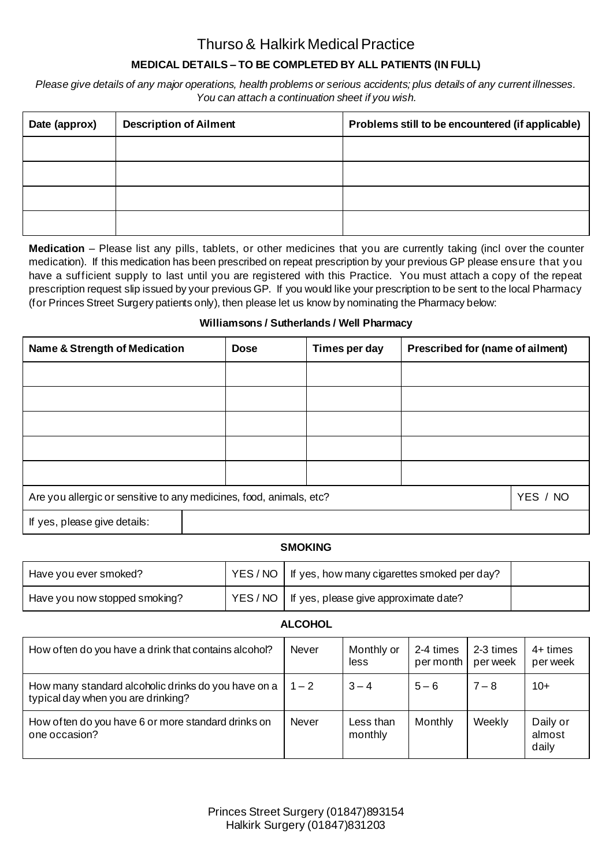## Thurso & Halkirk Medical Practice

## **MEDICAL DETAILS – TO BE COMPLETED BY ALL PATIENTS (IN FULL)**

*Please give details of any major operations, health problems or serious accidents; plus details of any current illnesses. You can attach a continuation sheet if you wish.*

| Date (approx) | <b>Description of Ailment</b> | Problems still to be encountered (if applicable) |
|---------------|-------------------------------|--------------------------------------------------|
|               |                               |                                                  |
|               |                               |                                                  |
|               |                               |                                                  |
|               |                               |                                                  |

**Medication** – Please list any pills, tablets, or other medicines that you are currently taking (incl over the counter medication). If this medication has been prescribed on repeat prescription by your previous GP please ensure that you have a sufficient supply to last until you are registered with this Practice. You must attach a copy of the repeat prescription request slip issued by your previous GP. If you would like your prescription to be sent to the local Pharmacy (for Princes Street Surgery patients only), then please let us know by nominating the Pharmacy below:

#### **Williamsons / Sutherlands / Well Pharmacy**

| Name & Strength of Medication                                       | <b>Dose</b> | Times per day | Prescribed for (name of ailment) |          |
|---------------------------------------------------------------------|-------------|---------------|----------------------------------|----------|
|                                                                     |             |               |                                  |          |
|                                                                     |             |               |                                  |          |
|                                                                     |             |               |                                  |          |
|                                                                     |             |               |                                  |          |
|                                                                     |             |               |                                  |          |
| Are you allergic or sensitive to any medicines, food, animals, etc? |             |               |                                  | YES / NO |
| If yes, please give details:                                        |             |               |                                  |          |

#### **SMOKING**

| Have you ever smoked?         | YES / NO   If yes, how many cigarettes smoked per day? |  |
|-------------------------------|--------------------------------------------------------|--|
| Have you now stopped smoking? | YES / NO   If yes, please give approximate date?       |  |

#### **ALCOHOL**

| How often do you have a drink that contains alcohol?                                      | Never        | Monthly or<br>less   | 2-4 times<br>per month | 2-3 times<br>per week | $4+$ times<br>per week      |
|-------------------------------------------------------------------------------------------|--------------|----------------------|------------------------|-----------------------|-----------------------------|
| How many standard alcoholic drinks do you have on a<br>typical day when you are drinking? | $1 - 2$      | $3 - 4$              | $5 - 6$                | $7 - 8$               | $10+$                       |
| How often do you have 6 or more standard drinks on<br>one occasion?                       | <b>Never</b> | Less than<br>monthly | Monthly                | Weekly                | Daily or<br>almost<br>daily |